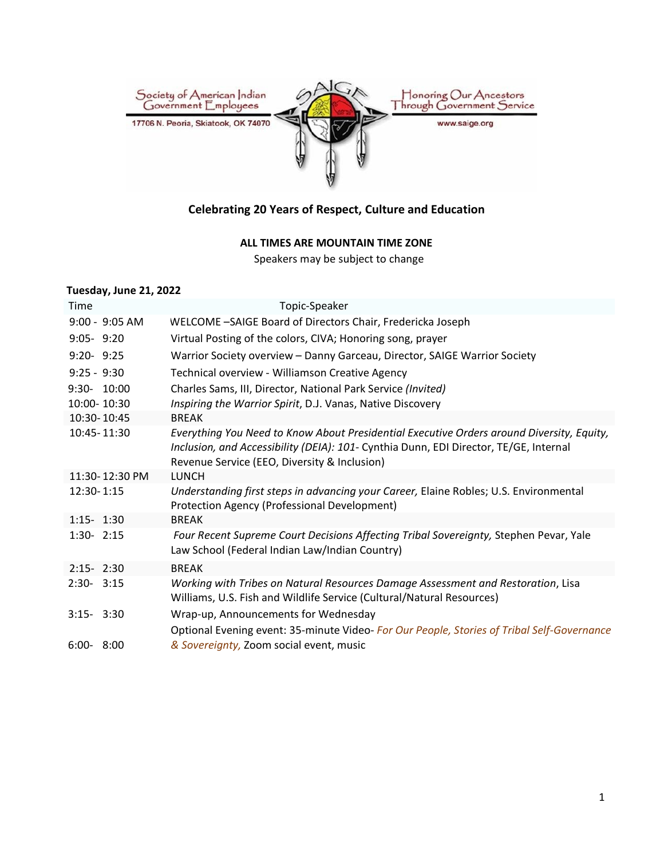

# **Celebrating 20 Years of Respect, Culture and Education**

## **ALL TIMES ARE MOUNTAIN TIME ZONE**

Speakers may be subject to change

#### **Tuesday, June 21, 2022**

| Time                       |                | Topic-Speaker                                                                                                                                                                                                                      |
|----------------------------|----------------|------------------------------------------------------------------------------------------------------------------------------------------------------------------------------------------------------------------------------------|
|                            | 9:00 - 9:05 AM | WELCOME -SAIGE Board of Directors Chair, Fredericka Joseph                                                                                                                                                                         |
| $9:05 - 9:20$              |                | Virtual Posting of the colors, CIVA; Honoring song, prayer                                                                                                                                                                         |
| $9:20 - 9:25$              |                | Warrior Society overview - Danny Garceau, Director, SAIGE Warrior Society                                                                                                                                                          |
| $9:25 - 9:30$              |                | Technical overview - Williamson Creative Agency                                                                                                                                                                                    |
| 9:30- 10:00<br>10:00-10:30 |                | Charles Sams, III, Director, National Park Service (Invited)<br>Inspiring the Warrior Spirit, D.J. Vanas, Native Discovery                                                                                                         |
| 10:30-10:45                |                | <b>BREAK</b>                                                                                                                                                                                                                       |
| 10:45-11:30                |                | Everything You Need to Know About Presidential Executive Orders around Diversity, Equity,<br>Inclusion, and Accessibility (DEIA): 101- Cynthia Dunn, EDI Director, TE/GE, Internal<br>Revenue Service (EEO, Diversity & Inclusion) |
|                            | 11:30-12:30 PM | <b>LUNCH</b>                                                                                                                                                                                                                       |
| 12:30-1:15                 |                | Understanding first steps in advancing your Career, Elaine Robles; U.S. Environmental<br>Protection Agency (Professional Development)                                                                                              |
| $1:15 - 1:30$              |                | <b>BREAK</b>                                                                                                                                                                                                                       |
| $1:30 - 2:15$              |                | Four Recent Supreme Court Decisions Affecting Tribal Sovereignty, Stephen Pevar, Yale<br>Law School (Federal Indian Law/Indian Country)                                                                                            |
| $2:15 - 2:30$              |                | <b>BREAK</b>                                                                                                                                                                                                                       |
| $2:30 - 3:15$              |                | Working with Tribes on Natural Resources Damage Assessment and Restoration, Lisa<br>Williams, U.S. Fish and Wildlife Service (Cultural/Natural Resources)                                                                          |
| $3:15 - 3:30$              |                | Wrap-up, Announcements for Wednesday                                                                                                                                                                                               |
| $6:00 - 8:00$              |                | Optional Evening event: 35-minute Video- For Our People, Stories of Tribal Self-Governance<br>& Sovereignty, Zoom social event, music                                                                                              |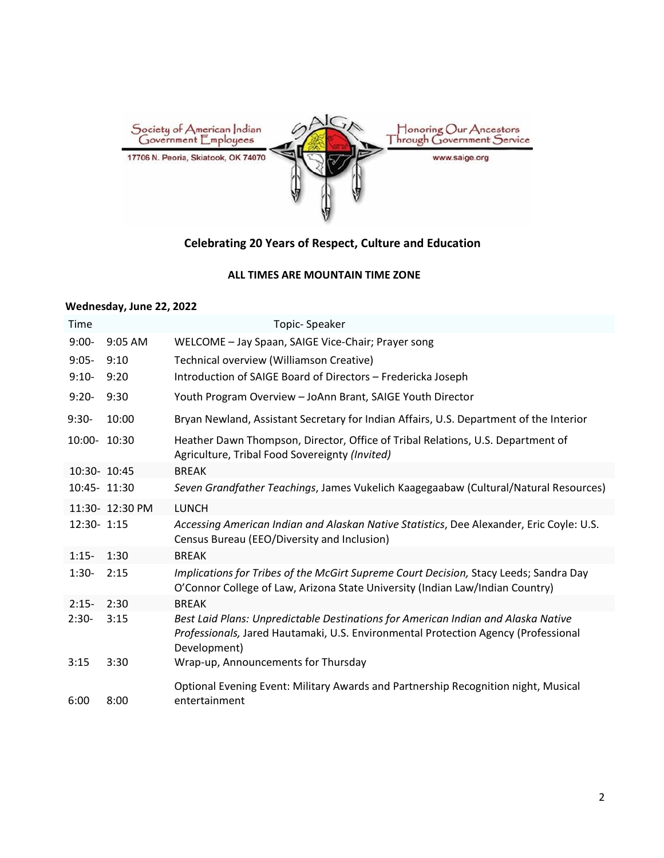

# **Celebrating 20 Years of Respect, Culture and Education**

## **ALL TIMES ARE MOUNTAIN TIME ZONE**

#### **Wednesday, June 22, 2022**

| <b>Time</b>  |                 | Topic-Speaker                                                                                                                                                                           |
|--------------|-----------------|-----------------------------------------------------------------------------------------------------------------------------------------------------------------------------------------|
| $9:00-$      | 9:05 AM         | WELCOME - Jay Spaan, SAIGE Vice-Chair; Prayer song                                                                                                                                      |
| $9:05 -$     | 9:10            | Technical overview (Williamson Creative)                                                                                                                                                |
| $9:10-$      | 9:20            | Introduction of SAIGE Board of Directors - Fredericka Joseph                                                                                                                            |
| $9:20-$      | 9:30            | Youth Program Overview - JoAnn Brant, SAIGE Youth Director                                                                                                                              |
| $9:30-$      | 10:00           | Bryan Newland, Assistant Secretary for Indian Affairs, U.S. Department of the Interior                                                                                                  |
| 10:00- 10:30 |                 | Heather Dawn Thompson, Director, Office of Tribal Relations, U.S. Department of<br>Agriculture, Tribal Food Sovereignty (Invited)                                                       |
| 10:30- 10:45 |                 | <b>BREAK</b>                                                                                                                                                                            |
| 10:45- 11:30 |                 | Seven Grandfather Teachings, James Vukelich Kaagegaabaw (Cultural/Natural Resources)                                                                                                    |
|              | 11:30- 12:30 PM | <b>LUNCH</b>                                                                                                                                                                            |
| 12:30- 1:15  |                 | Accessing American Indian and Alaskan Native Statistics, Dee Alexander, Eric Coyle: U.S.<br>Census Bureau (EEO/Diversity and Inclusion)                                                 |
| $1:15-$      | 1:30            | <b>BREAK</b>                                                                                                                                                                            |
| $1:30-$      | 2:15            | Implications for Tribes of the McGirt Supreme Court Decision, Stacy Leeds; Sandra Day<br>O'Connor College of Law, Arizona State University (Indian Law/Indian Country)                  |
| $2:15-$      | 2:30            | <b>BREAK</b>                                                                                                                                                                            |
| $2:30-$      | 3:15            | Best Laid Plans: Unpredictable Destinations for American Indian and Alaska Native<br>Professionals, Jared Hautamaki, U.S. Environmental Protection Agency (Professional<br>Development) |
| 3:15         | 3:30            | Wrap-up, Announcements for Thursday                                                                                                                                                     |
| 6:00         | 8:00            | Optional Evening Event: Military Awards and Partnership Recognition night, Musical<br>entertainment                                                                                     |